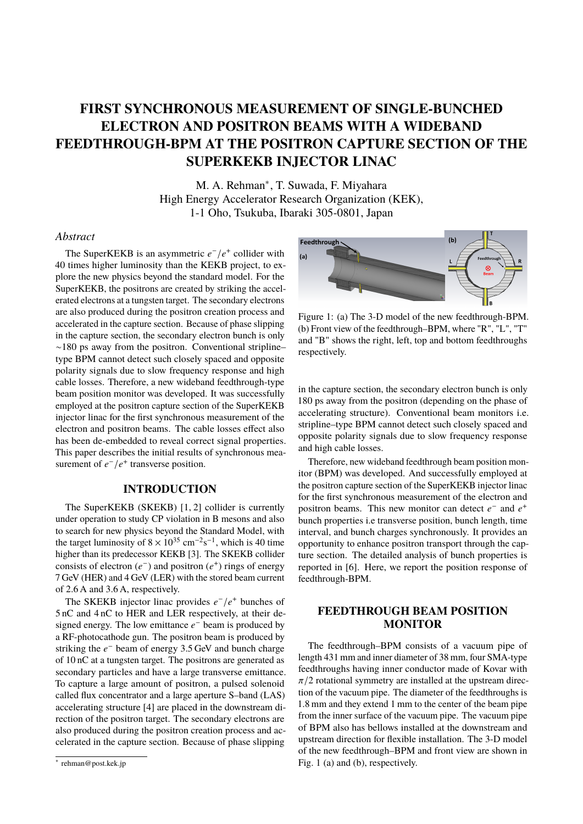# **FIRST SYNCHRONOUS MEASUREMENT OF SINGLE-BUNCHED ELECTRON AND POSITRON BEAMS WITH A WIDEBAND FEEDTHROUGH-BPM AT THE POSITRON CAPTURE SECTION OF THE SUPERKEKB INJECTOR LINAC**

M. A. Rehman<sup>∗</sup>, T. Suwada, F. Miyahara High Energy Accelerator Research Organization (KEK), 1-1 Oho, Tsukuba, Ibaraki 305-0801, Japan

### *Abstract*

The SuperKEKB is an asymmetric  $e^-/e^+$  collider with 40 times higher luminosity than the KEKB project, to explore the new physics beyond the standard model. For the SuperKEKB, the positrons are created by striking the accelerated electrons at a tungsten target. The secondary electrons are also produced during the positron creation process and accelerated in the capture section. Because of phase slipping in the capture section, the secondary electron bunch is only ∼180 ps away from the positron. Conventional stripline– type BPM cannot detect such closely spaced and opposite polarity signals due to slow frequency response and high cable losses. Therefore, a new wideband feedthrough-type beam position monitor was developed. It was successfully employed at the positron capture section of the SuperKEKB injector linac for the first synchronous measurement of the electron and positron beams. The cable losses effect also has been de-embedded to reveal correct signal properties. This paper describes the initial results of synchronous measurement of  $e^-/e^+$  transverse position.

## **INTRODUCTION**

The SuperKEKB (SKEKB) [1, 2] collider is currently under operation to study CP violation in B mesons and also to search for new physics beyond the Standard Model, with the target luminosity of  $8 \times 10^{35}$  cm<sup>-2</sup>s<sup>-1</sup>, which is 40 time higher than its predecessor KEKB [3]. The SKEKB collider consists of electron  $(e^-)$  and positron  $(e^+)$  rings of energy 7 GeV (HER) and 4 GeV (LER) with the stored beam current of 2.6 A and 3.6 A, respectively.

The SKEKB injector linac provides  $e^-/e^+$  bunches of 5 nC and 4 nC to HER and LER respectively, at their designed energy. The low emittance  $e^-$  beam is produced by a RF-photocathode gun. The positron beam is produced by striking the  $e^-$  beam of energy 3.5 GeV and bunch charge of 10 nC at a tungsten target. The positrons are generated as secondary particles and have a large transverse emittance. To capture a large amount of positron, a pulsed solenoid called flux concentrator and a large aperture S–band (LAS) accelerating structure [4] are placed in the downstream direction of the positron target. The secondary electrons are also produced during the positron creation process and accelerated in the capture section. Because of phase slipping



Figure 1: (a) The 3-D model of the new feedthrough-BPM. (b) Front view of the feedthrough–BPM, where "R", "L", "T" and "B" shows the right, left, top and bottom feedthroughs respectively.

in the capture section, the secondary electron bunch is only 180 ps away from the positron (depending on the phase of accelerating structure). Conventional beam monitors i.e. stripline–type BPM cannot detect such closely spaced and opposite polarity signals due to slow frequency response and high cable losses.

Therefore, new wideband feedthrough beam position monitor (BPM) was developed. And successfully employed at the positron capture section of the SuperKEKB injector linac for the first synchronous measurement of the electron and positron beams. This new monitor can detect  $e^-$  and  $e^+$ bunch properties i.e transverse position, bunch length, time interval, and bunch charges synchronously. It provides an opportunity to enhance positron transport through the capture section. The detailed analysis of bunch properties is reported in [6]. Here, we report the position response of feedthrough-BPM.

# **FEEDTHROUGH BEAM POSITION MONITOR**

The feedthrough–BPM consists of a vacuum pipe of length 431 mm and inner diameter of 38 mm, four SMA-type feedthroughs having inner conductor made of Kovar with  $\pi/2$  rotational symmetry are installed at the upstream direction of the vacuum pipe. The diameter of the feedthroughs is 1.8 mm and they extend 1 mm to the center of the beam pipe from the inner surface of the vacuum pipe. The vacuum pipe of BPM also has bellows installed at the downstream and upstream direction for flexible installation. The 3-D model of the new feedthrough–BPM and front view are shown in Fig. 1 (a) and (b), respectively.

<sup>∗</sup> rehman@post.kek.jp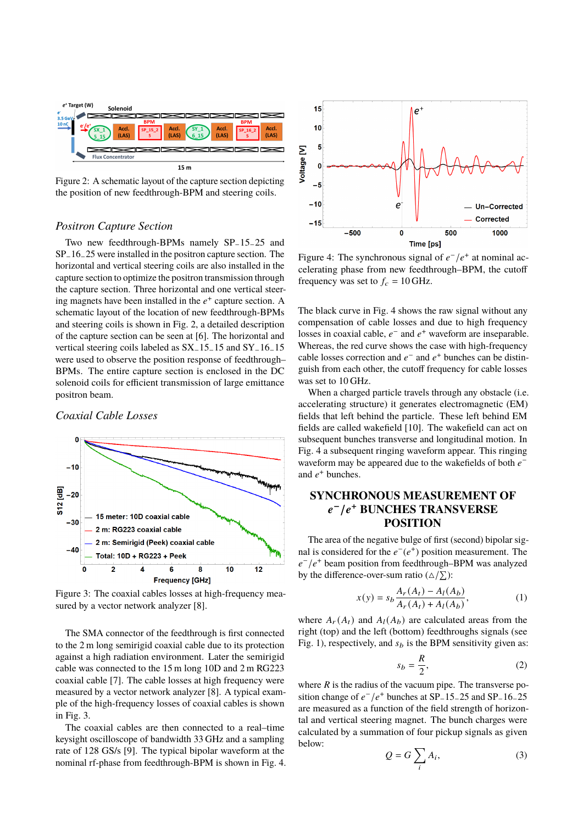

Figure 2: A schematic layout of the capture section depicting the position of new feedthrough-BPM and steering coils.

#### *Positron Capture Section*

Two new feedthrough-BPMs namely SP−15−25 and SP−16−25 were installed in the positron capture section. The horizontal and vertical steering coils are also installed in the capture section to optimize the positron transmission through the capture section. Three horizontal and one vertical steering magnets have been installed in the  $e^+$  capture section. A schematic layout of the location of new feedthrough-BPMs and steering coils is shown in Fig. 2, a detailed description of the capture section can be seen at [6]. The horizontal and vertical steering coils labeled as SX−15−15 and SY−16−15 were used to observe the position response of feedthrough– BPMs. The entire capture section is enclosed in the DC solenoid coils for efficient transmission of large emittance positron beam.

#### *Coaxial Cable Losses*



Figure 3: The coaxial cables losses at high-frequency measured by a vector network analyzer [8].

The SMA connector of the feedthrough is first connected to the 2 m long semirigid coaxial cable due to its protection against a high radiation environment. Later the semirigid cable was connected to the 15 m long 10D and 2 m RG223 coaxial cable [7]. The cable losses at high frequency were measured by a vector network analyzer [8]. A typical example of the high-frequency losses of coaxial cables is shown in Fig. 3.

The coaxial cables are then connected to a real–time keysight oscilloscope of bandwidth 33 GHz and a sampling rate of 128 GS/s [9]. The typical bipolar waveform at the nominal rf-phase from feedthrough-BPM is shown in Fig. 4.



Figure 4: The synchronous signal of  $e^-/e^+$  at nominal accelerating phase from new feedthrough–BPM, the cutoff frequency was set to  $f_c = 10$  GHz.

The black curve in Fig. 4 shows the raw signal without any compensation of cable losses and due to high frequency losses in coaxial cable,  $e^-$  and  $e^+$  waveform are inseparable. Whereas, the red curve shows the case with high-frequency cable losses correction and  $e^-$  and  $e^+$  bunches can be distinguish from each other, the cutoff frequency for cable losses was set to 10 GHz.

When a charged particle travels through any obstacle *(i.e.*) accelerating structure) it generates electromagnetic (EM) fields that left behind the particle. These left behind EM fields are called wakefield [10]. The wakefield can act on subsequent bunches transverse and longitudinal motion. In Fig. 4 a subsequent ringing waveform appear. This ringing waveform may be appeared due to the wakefields of both  $e^$ and  $e^+$  bunches.

# **SYNCHRONOUS MEASUREMENT OF** 𝒆 <sup>−</sup>/𝒆 <sup>+</sup> **BUNCHES TRANSVERSE POSITION**

The area of the negative bulge of first (second) bipolar signal is considered for the  $e^-(e^+)$  position measurement. The  $e^-/e^+$  beam position from feedthrough–BPM was analyzed by the difference-over-sum ratio ( $\Delta/\sum$ ):

$$
x(y) = s_b \frac{A_r(A_t) - A_l(A_b)}{A_r(A_t) + A_l(A_b)},
$$
 (1)

where  $A_r(A_t)$  and  $A_l(A_b)$  are calculated areas from the right (top) and the left (bottom) feedthroughs signals (see Fig. 1), respectively, and  $s_b$  is the BPM sensitivity given as:

$$
s_b = \frac{R}{2},\tag{2}
$$

where  *is the radius of the vacuum pipe. The transverse po*sition change of  $e^-/e^+$  bunches at SP\_15\_25 and SP\_16\_25 are measured as a function of the field strength of horizontal and vertical steering magnet. The bunch charges were calculated by a summation of four pickup signals as given below:

$$
Q = G \sum_{i} A_i,
$$
 (3)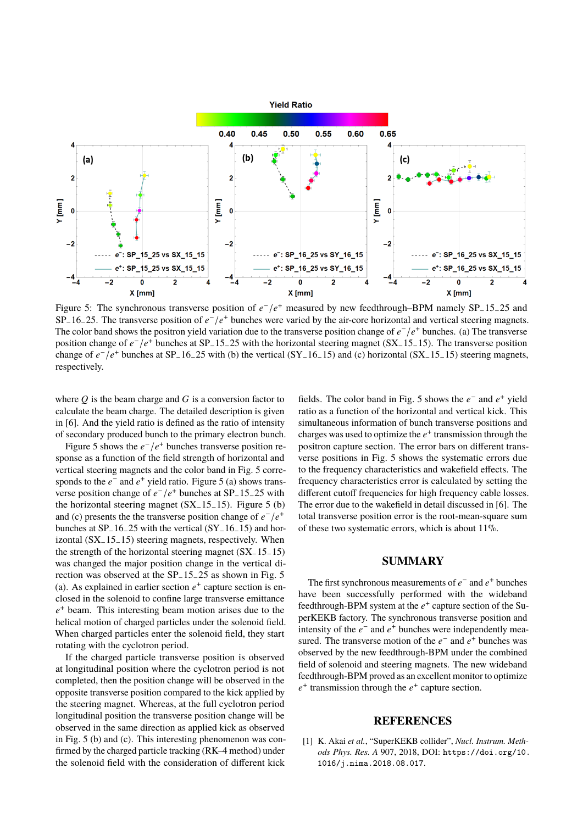

Figure 5: The synchronous transverse position of  $e^-/e^+$  measured by new feedthrough–BPM namely SP<sub>-15-25</sub> and SP<sub>−</sub>16−25. The transverse position of  $e^-/e^+$  bunches were varied by the air-core horizontal and vertical steering magnets. The color band shows the positron yield variation due to the transverse position change of  $e^-/e^+$  bunches. (a) The transverse position change of  $e^-/e^+$  bunches at SP<sub>-15-25</sub> with the horizontal steering magnet (SX<sub>-15-15</sub>). The transverse position change of  $e^-/e^+$  bunches at SP<sub>-16-25</sub> with (b) the vertical (SY<sub>-16-15</sub>) and (c) horizontal (SX<sub>-15-15</sub>) steering magnets, respectively.

where  $Q$  is the beam charge and  $G$  is a conversion factor to calculate the beam charge. The detailed description is given in [6]. And the yield ratio is defined as the ratio of intensity of secondary produced bunch to the primary electron bunch.

Figure 5 shows the  $e^-/e^+$  bunches transverse position response as a function of the field strength of horizontal and vertical steering magnets and the color band in Fig. 5 corresponds to the  $e^-$  and  $e^+$  yield ratio. Figure 5 (a) shows transverse position change of  $e^-/e^+$  bunches at SP<sub>-15-25</sub> with the horizontal steering magnet (SX−15−15). Figure 5 (b) and (c) presents the the transverse position change of  $e^-/e^+$ bunches at SP−16−25 with the vertical (SY−16−15) and horizontal (SX−15−15) steering magnets, respectively. When the strength of the horizontal steering magnet (SX−15−15) was changed the major position change in the vertical direction was observed at the SP−15−25 as shown in Fig. 5 (a). As explained in earlier section  $e^+$  capture section is enclosed in the solenoid to confine large transverse emittance  $e<sup>+</sup>$  beam. This interesting beam motion arises due to the helical motion of charged particles under the solenoid field. When charged particles enter the solenoid field, they start rotating with the cyclotron period.

If the charged particle transverse position is observed at longitudinal position where the cyclotron period is not completed, then the position change will be observed in the opposite transverse position compared to the kick applied by the steering magnet. Whereas, at the full cyclotron period longitudinal position the transverse position change will be observed in the same direction as applied kick as observed in Fig. 5 (b) and (c). This interesting phenomenon was confirmed by the charged particle tracking (RK–4 method) under the solenoid field with the consideration of different kick

fields. The color band in Fig. 5 shows the  $e^-$  and  $e^+$  yield ratio as a function of the horizontal and vertical kick. This simultaneous information of bunch transverse positions and charges was used to optimize the  $e^+$  transmission through the positron capture section. The error bars on different transverse positions in Fig. 5 shows the systematic errors due to the frequency characteristics and wakefield effects. The frequency characteristics error is calculated by setting the different cutoff frequencies for high frequency cable losses. The error due to the wakefield in detail discussed in [6]. The total transverse position error is the root-mean-square sum of these two systematic errors, which is about 11%.

## **SUMMARY**

The first synchronous measurements of  $e^-$  and  $e^+$  bunches have been successfully performed with the wideband feedthrough-BPM system at the  $e^+$  capture section of the SuperKEKB factory. The synchronous transverse position and intensity of the  $e^-$  and  $e^+$  bunches were independently measured. The transverse motion of the  $e^-$  and  $e^+$  bunches was observed by the new feedthrough-BPM under the combined field of solenoid and steering magnets. The new wideband feedthrough-BPM proved as an excellent monitor to optimize  $e^+$  transmission through the  $e^+$  capture section.

#### **REFERENCES**

[1] K. Akai *et al.*, "SuperKEKB collider", *Nucl. Instrum. Methods Phys. Res. A* 907, 2018, DOI: https://doi.org/10. 1016/j.nima.2018.08.017.